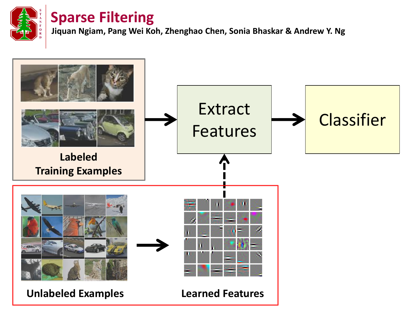

**Jiquan Ngiam, Pang Wei Koh, Zhenghao Chen, Sonia Bhaskar & Andrew Y. Ng**

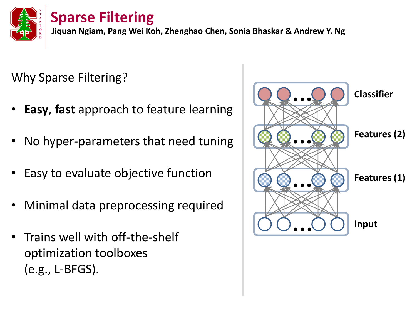

**Jiquan Ngiam, Pang Wei Koh, Zhenghao Chen, Sonia Bhaskar & Andrew Y. Ng**

Why Sparse Filtering?

- **Easy**, **fast** approach to feature learning
- No hyper-parameters that need tuning
- Easy to evaluate objective function
- Minimal data preprocessing required
- Trains well with off-the-shelf optimization toolboxes (e.g., L-BFGS).

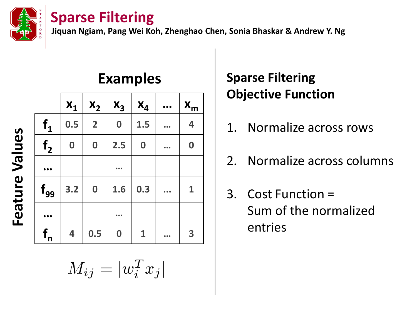

**Jiquan Ngiam, Pang Wei Koh, Zhenghao Chen, Sonia Bhaskar & Andrew Y. Ng**

|                |                  |                         | $X_1   X_2   X_3$ | $X_4$            | $\bullet\bullet\bullet$ | $X_m$                   |
|----------------|------------------|-------------------------|-------------------|------------------|-------------------------|-------------------------|
| $f_1$          | 0.5              | $\overline{\mathbf{2}}$ | $\boldsymbol{0}$  | 1.5              |                         | 4                       |
| f <sub>2</sub> | $\boldsymbol{0}$ | $\mathbf 0$             | 2.5               | $\boldsymbol{0}$ |                         | $\boldsymbol{0}$        |
|                |                  |                         |                   |                  |                         |                         |
| $f_{99}$       | $3.2$            |                         | $0 \mid 1.6$      | 0.3              |                         | $\mathbf{1}$            |
|                |                  |                         |                   |                  |                         |                         |
| $f_{n}$        | 4                | 0.5                     | $\boldsymbol{0}$  | $\mathbf{1}$     |                         | $\overline{\mathbf{3}}$ |

## **Examples**

# $M_{ij} = |w_i^T x_j|$

# **Sparse Filtering Objective Function**

- 1. Normalize across rows
- 2. Normalize across columns
- 3. Cost Function = Sum of the normalized entries